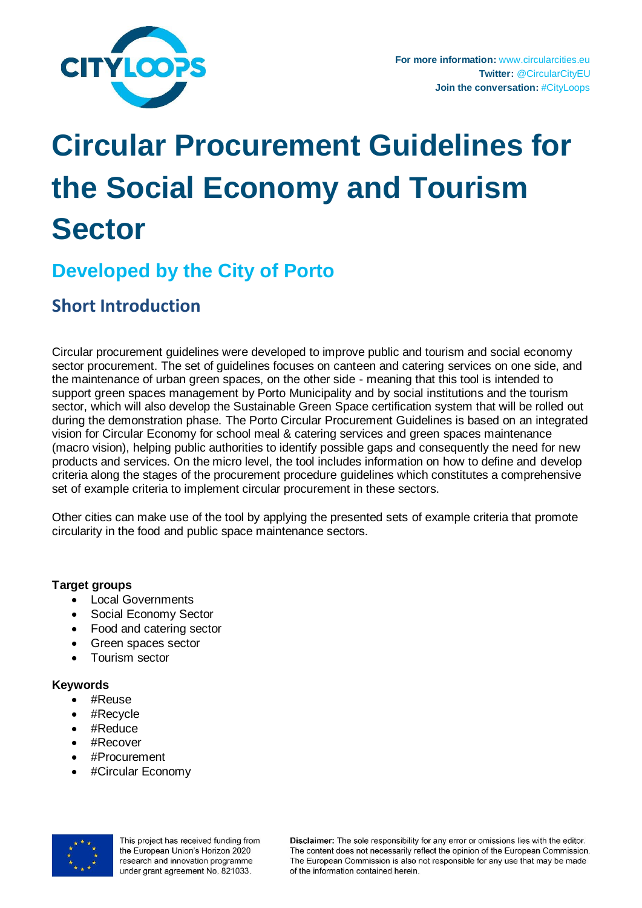

# **Circular Procurement Guidelines for the Social Economy and Tourism Sector**

## **Developed by the City of Porto**

### **Short Introduction**

Circular procurement guidelines were developed to improve public and tourism and social economy sector procurement. The set of guidelines focuses on canteen and catering services on one side, and the maintenance of urban green spaces, on the other side - meaning that this tool is intended to support green spaces management by Porto Municipality and by social institutions and the tourism sector, which will also develop the Sustainable Green Space certification system that will be rolled out during the demonstration phase. The Porto Circular Procurement Guidelines is based on an integrated vision for Circular Economy for school meal & catering services and green spaces maintenance (macro vision), helping public authorities to identify possible gaps and consequently the need for new products and services. On the micro level, the tool includes information on how to define and develop criteria along the stages of the procurement procedure guidelines which constitutes a comprehensive set of example criteria to implement circular procurement in these sectors.

Other cities can make use of the tool by applying the presented sets of example criteria that promote circularity in the food and public space maintenance sectors.

#### **Target groups**

- Local Governments
- Social Economy Sector
- Food and catering sector
- Green spaces sector
- Tourism sector

#### **Keywords**

- #Reuse
- #Recycle
- #Reduce
- #Recover
- #Procurement
- #Circular Economy



This project has received funding from the European Union's Horizon 2020 research and innovation programme under grant agreement No. 821033.

Disclaimer: The sole responsibility for any error or omissions lies with the editor. The content does not necessarily reflect the opinion of the European Commission. The European Commission is also not responsible for any use that may be made of the information contained herein.